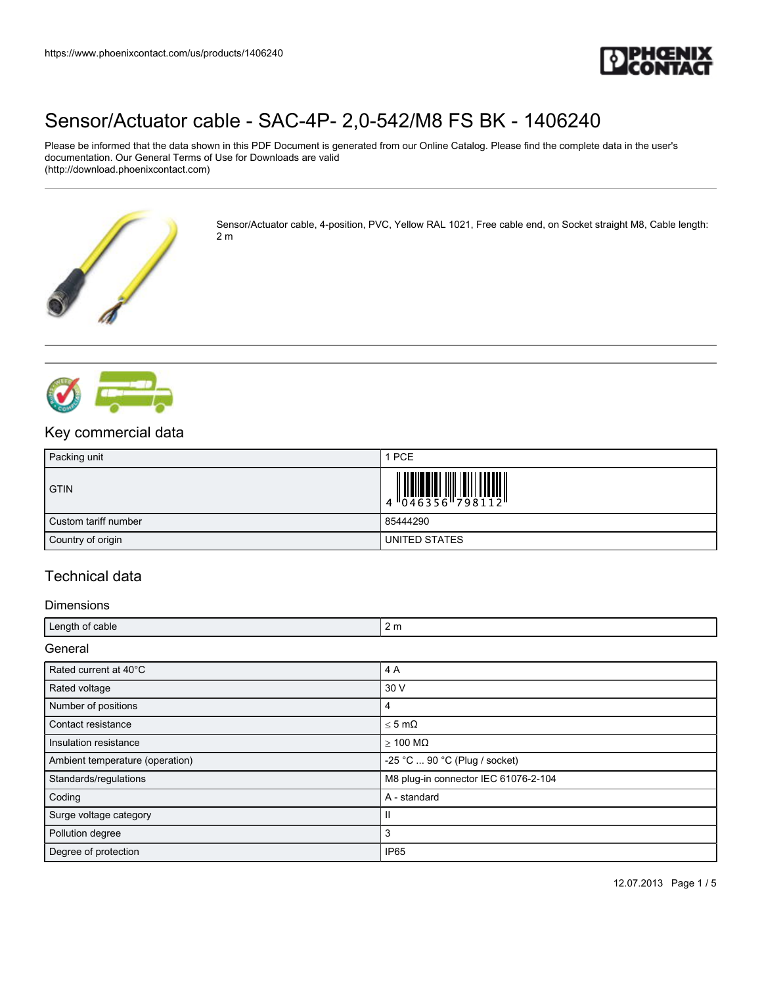

Please be informed that the data shown in this PDF Document is generated from our Online Catalog. Please find the complete data in the user's documentation. Our General Terms of Use for Downloads are valid (http://download.phoenixcontact.com)



Sensor/Actuator cable, 4-position, PVC, Yellow RAL 1021, Free cable end, on Socket straight M8, Cable length: 2 m



## Key commercial data

| Packing unit         | 1 PCE                                                                     |
|----------------------|---------------------------------------------------------------------------|
| <b>GTIN</b>          | $\begin{array}{c} 1 & 0 & 0 & 0 \\ 0 & 0 & 4 & 6 & 3 & 5 & 6 \end{array}$ |
| Custom tariff number | 85444290                                                                  |
| Country of origin    | UNITED STATES                                                             |

## Technical data

#### Dimensions

| Length of cable | Ζm |
|-----------------|----|
|                 |    |

**General** 

| Rated current at 40°C           | 4 A                                   |
|---------------------------------|---------------------------------------|
| Rated voltage                   | 30 V                                  |
| Number of positions             | 4                                     |
| Contact resistance              | $<$ 5 m $\Omega$                      |
| Insulation resistance           | $\geq 100$ M $\Omega$                 |
| Ambient temperature (operation) | -25 °C $\ldots$ 90 °C (Plug / socket) |
| Standards/regulations           | M8 plug-in connector IEC 61076-2-104  |
| Coding                          | A - standard                          |
| Surge voltage category          |                                       |
| Pollution degree                | 3                                     |
| Degree of protection            | IP <sub>65</sub>                      |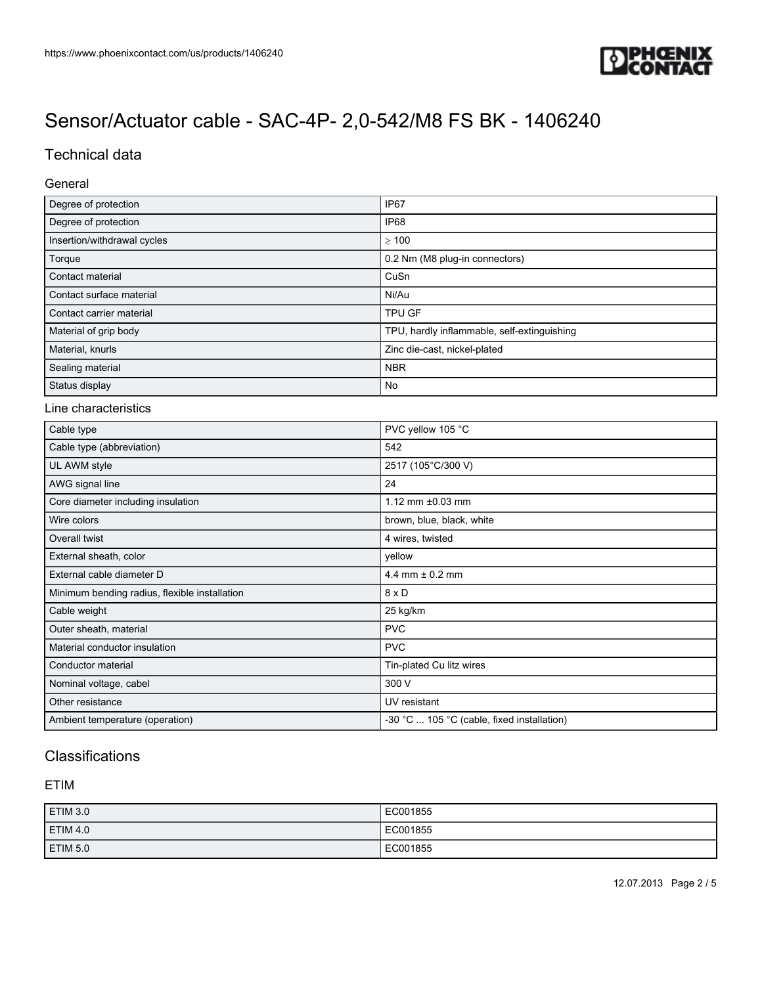

## Technical data

#### General

| Degree of protection        | IP <sub>67</sub>                            |
|-----------------------------|---------------------------------------------|
| Degree of protection        | IP68                                        |
| Insertion/withdrawal cycles | >100                                        |
| Torque                      | 0.2 Nm (M8 plug-in connectors)              |
| Contact material            | CuSn                                        |
| Contact surface material    | Ni/Au                                       |
| Contact carrier material    | <b>TPU GF</b>                               |
| Material of grip body       | TPU, hardly inflammable, self-extinguishing |
| Material, knurls            | Zinc die-cast, nickel-plated                |
| Sealing material            | <b>NBR</b>                                  |
| Status display              | No                                          |

#### Line characteristics

| Cable type                                    | PVC yellow 105 °C                          |
|-----------------------------------------------|--------------------------------------------|
| Cable type (abbreviation)                     | 542                                        |
| UL AWM style                                  | 2517 (105°C/300 V)                         |
| AWG signal line                               | 24                                         |
| Core diameter including insulation            | 1.12 mm $\pm 0.03$ mm                      |
| Wire colors                                   | brown, blue, black, white                  |
| Overall twist                                 | 4 wires, twisted                           |
| External sheath, color                        | yellow                                     |
| External cable diameter D                     | 4.4 mm $\pm$ 0.2 mm                        |
| Minimum bending radius, flexible installation | $8 \times D$                               |
| Cable weight                                  | 25 kg/km                                   |
| Outer sheath, material                        | <b>PVC</b>                                 |
| Material conductor insulation                 | <b>PVC</b>                                 |
| Conductor material                            | Tin-plated Cu litz wires                   |
| Nominal voltage, cabel                        | 300 V                                      |
| Other resistance                              | UV resistant                               |
| Ambient temperature (operation)               | -30 °C  105 °C (cable, fixed installation) |

# **Classifications**

#### ETIM

| <b>ETIM 3.0</b> | EC001855 |
|-----------------|----------|
| <b>ETIM 4.0</b> | EC001855 |
| ETIM 5.0        | EC001855 |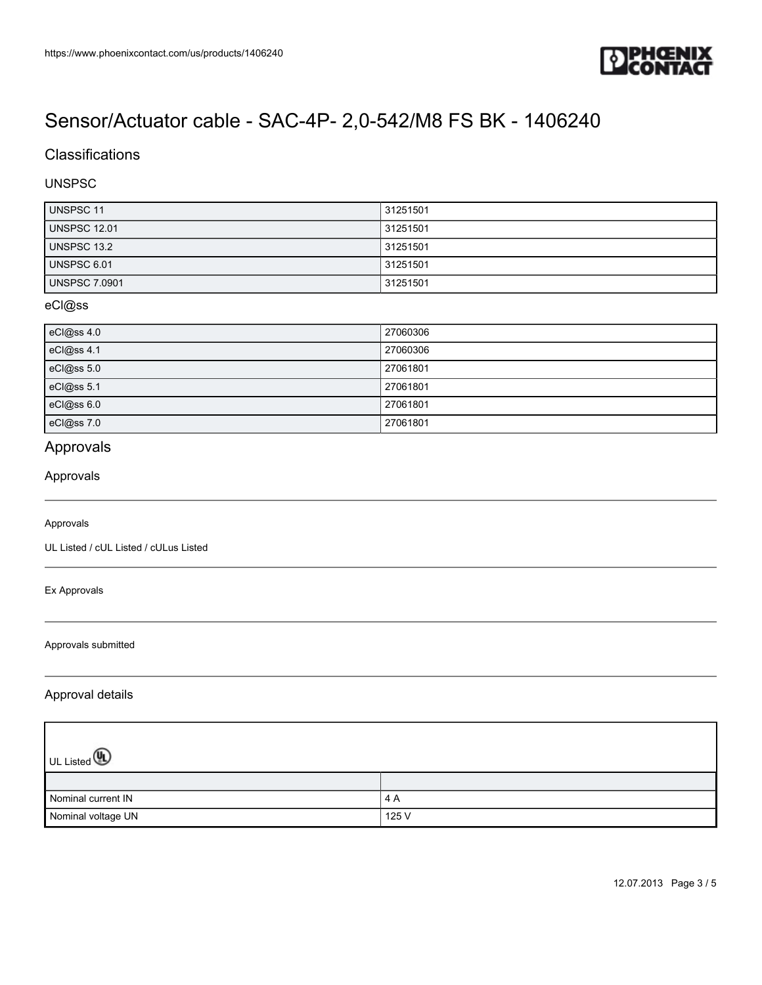

## **Classifications**

#### UNSPSC

| <b>UNSPSC 11</b>     | 31251501 |
|----------------------|----------|
| <b>UNSPSC 12.01</b>  | 31251501 |
| UNSPSC 13.2          | 31251501 |
| UNSPSC 6.01          | 31251501 |
| <b>UNSPSC 7.0901</b> | 31251501 |

#### eCl@ss

| eCl@ss 4.0 | 27060306 |
|------------|----------|
| eCl@ss 4.1 | 27060306 |
| eCl@ss 5.0 | 27061801 |
| eCl@ss 5.1 | 27061801 |
| eCl@ss 6.0 | 27061801 |
| eCl@ss 7.0 | 27061801 |

# Approvals

#### Approvals

#### Approvals

UL Listed / cUL Listed / cULus Listed

Ex Approvals

Approvals submitted

#### Approval details

| UL Listed <b>4</b> |       |
|--------------------|-------|
|                    |       |
| Nominal current IN | 4 A   |
| Nominal voltage UN | 125 V |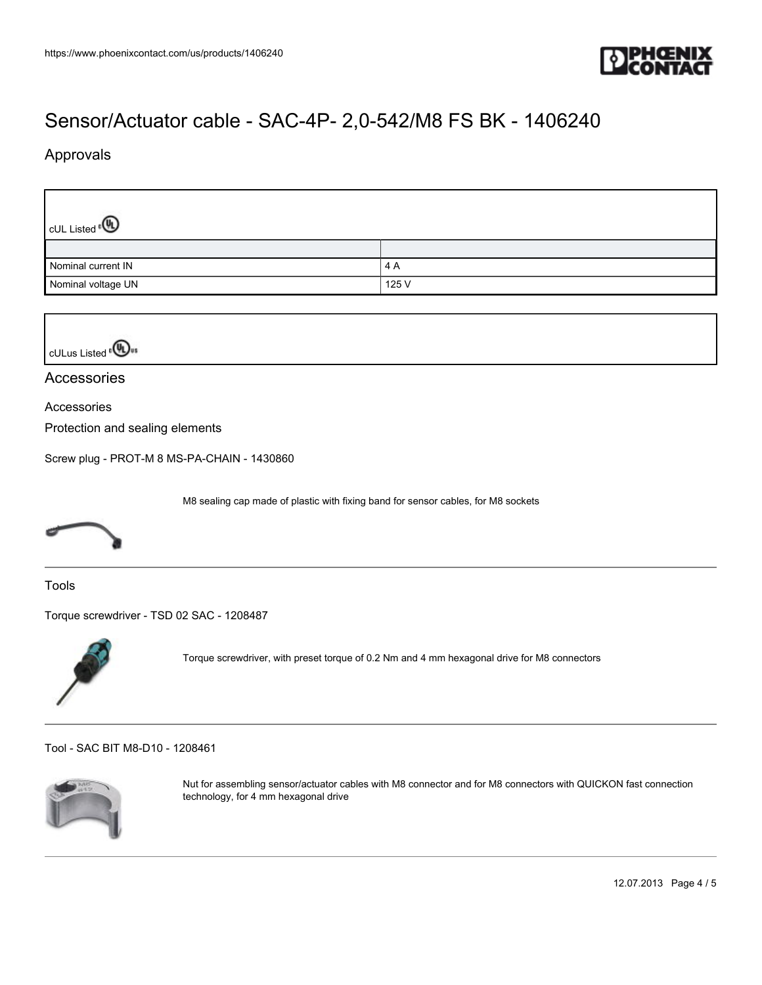

## Approvals

Г

| $\vert$ cUL Listed $^{\circ}$ $\mathbb{\Omega}$ |       |
|-------------------------------------------------|-------|
|                                                 |       |
| Nominal current IN                              | 4 A   |
| Nominal voltage UN                              | 125 V |



#### Accessories

Accessories

Protection and sealing elements

[Screw plug - PROT-M 8 MS-PA-CHAIN - 1430860](https://www.phoenixcontact.com/us/products/1430860)

M8 sealing cap made of plastic with fixing band for sensor cables, for M8 sockets



Tools

[Torque screwdriver - TSD 02 SAC - 1208487](https://www.phoenixcontact.com/us/products/1208487)



Torque screwdriver, with preset torque of 0.2 Nm and 4 mm hexagonal drive for M8 connectors

[Tool - SAC BIT M8-D10 - 1208461](https://www.phoenixcontact.com/us/products/1208461)



Nut for assembling sensor/actuator cables with M8 connector and for M8 connectors with QUICKON fast connection technology, for 4 mm hexagonal drive